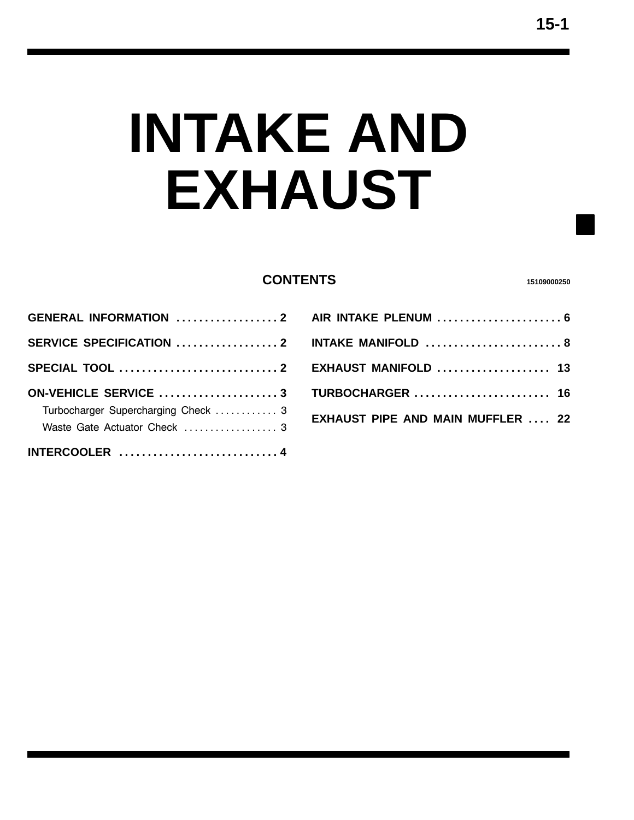# **INTAKE AND EXHAUST**

## **CONTENTS <sup>15109000250</sup>**

| <b>GENERAL INFORMATION  2</b>       |  |
|-------------------------------------|--|
|                                     |  |
|                                     |  |
| ON-VEHICLE SERVICE 3                |  |
| Turbocharger Supercharging Check  3 |  |
|                                     |  |
| Waste Gate Actuator Check  3        |  |

| AIR INTAKE PLENUM  6                     |  |
|------------------------------------------|--|
| INTAKE MANIFOLD  8                       |  |
| EXHAUST MANIFOLD  13                     |  |
| <b>TURBOCHARGER</b> 16                   |  |
| <b>EXHAUST PIPE AND MAIN MUFFLER  22</b> |  |
|                                          |  |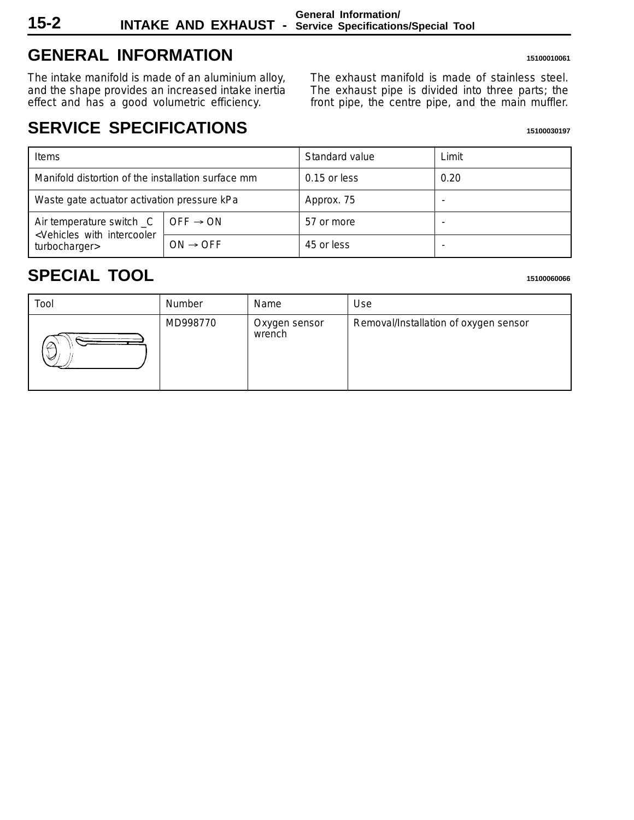<span id="page-1-0"></span>

# **GENERAL INFORMATION <sup>15100010061</sup>**

The intake manifold is made of an aluminium alloy, and the shape provides an increased intake inertia effect and has a good volumetric efficiency.

The exhaust manifold is made of stainless steel. The exhaust pipe is divided into three parts; the front pipe, the centre pipe, and the main muffler.

## **SERVICE SPECIFICATIONS**

| Items                                                                                        |                      | Standard value | Limit |
|----------------------------------------------------------------------------------------------|----------------------|----------------|-------|
| Manifold distortion of the installation surface mm                                           |                      | $0.15$ or less | 0.20  |
| Waste gate actuator activation pressure kPa                                                  |                      | Approx. 75     |       |
| Air temperature switch _C<br><vehicles intercooler<br="" with="">turbocharger&gt;</vehicles> | $OFF \rightarrow ON$ | 57 or more     |       |
|                                                                                              | $ON \rightarrow OFF$ | 45 or less     |       |

## **SPECIAL TOOL <sup>15100060066</sup>**

| Tool | Number   | Name                    | Use                                   |
|------|----------|-------------------------|---------------------------------------|
| ى    | MD998770 | Oxygen sensor<br>wrench | Removal/Installation of oxygen sensor |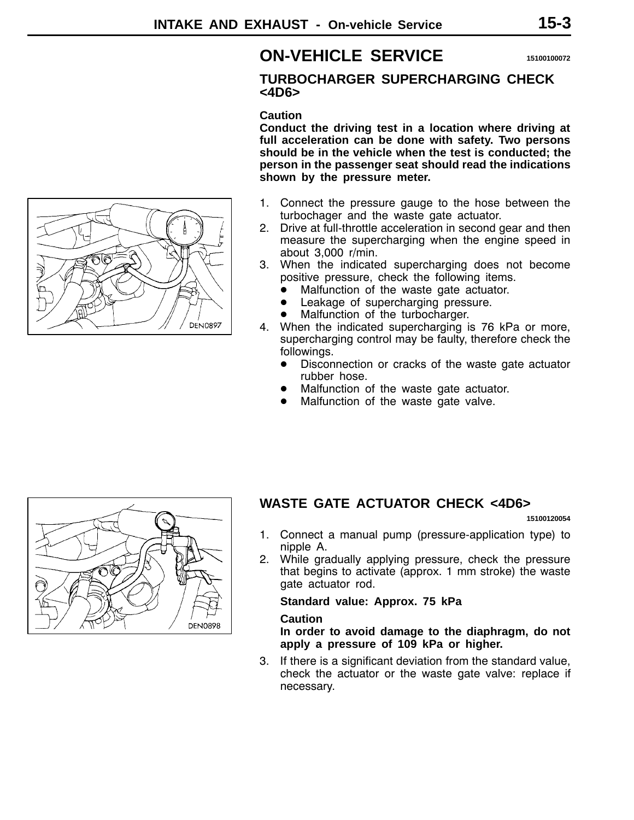## **ON-VEHICLE SERVICE <sup>15100100072</sup>**

## **TURBOCHARGER SUPERCHARGING CHECK <4D6>**

## **Caution**

**Conduct the driving test in a location where driving at full acceleration can be done with safety. Two persons should be in the vehicle when the test is conducted; the person in the passenger seat should read the indications shown by the pressure meter.**

- 1. Connect the pressure gauge to the hose between the turbochager and the waste gate actuator.
- 2. Drive at full-throttle acceleration in second gear and then measure the supercharging when the engine speed in about 3,000 r/min.
- 3. When the indicated supercharging does not become positive pressure, check the following items.
	- $\bullet$  Malfunction of the waste gate actuator.
	- Leakage of supercharging pressure.
	- Malfunction of the turbocharger.
- 4. When the indicated supercharging is 76 kPa or more, supercharging control may be faulty, therefore check the followings.
	- Disconnection or cracks of the waste gate actuator rubber hose.
	- Malfunction of the waste gate actuator.
	- Malfunction of the waste gate valve.



## **WASTE GATE ACTUATOR CHECK <4D6>**

**15100120054**

- 1. Connect a manual pump (pressure-application type) to nipple A.
- 2. While gradually applying pressure, check the pressure that begins to activate (approx. 1 mm stroke) the waste gate actuator rod.

## **Standard value: Approx. 75 kPa**

## **Caution**

**In order to avoid damage to the diaphragm, do not apply a pressure of 109 kPa or higher.**

3. If there is a significant deviation from the standard value, check the actuator or the waste gate valve: replace if necessary.

<span id="page-2-0"></span>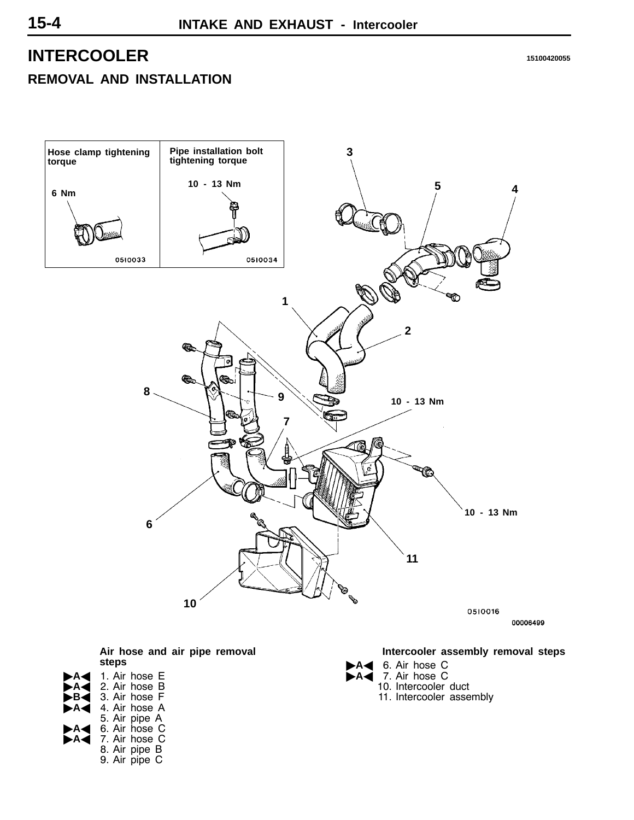## <span id="page-3-0"></span>**INTERCOOLER <sup>15100420055</sup> REMOVAL AND INSTALLATION**

# **Pipe installation bolt Hose clamp tightening 3 tightening torque torque 10 - 13 Nm 4 5 6 Nm** 0510033 0510034 **1 2 Co <sup>8</sup> <sup>9</sup> 10 - 13 Nm 7 10 - 13 Nm 6 11 10** 0510016 00006499 **Intercooler assembly removal steps**

A4 6. Air hose C A<sup>7</sup> 7. Air hose C

10. Intercooler duct 11. Intercooler assembly

**Air hose and air pipe removal steps**

- 1. Air hose E A<sup>2</sup> 2. Air hose B B<sup>A</sup> 3. Air hose F 4. Air hose A 5. Air pipe A "**A**A 6. Air hose C **AA** 6. Air hose C<br>**AA** 7. Air hose C
	- 8. Air pipe B 9. Air pipe C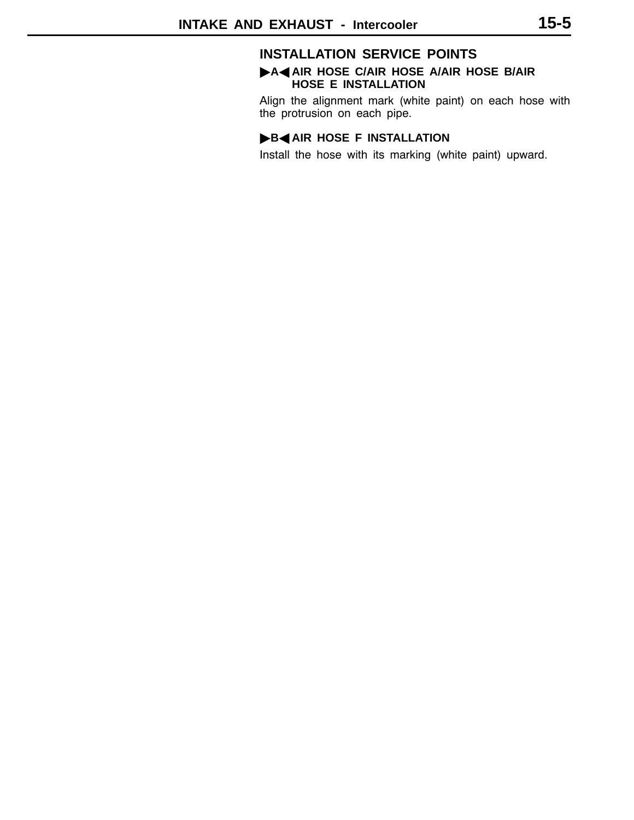## **INSTALLATION SERVICE POINTS**

## "**A**A **AIR HOSE C/AIR HOSE A/AIR HOSE B/AIR HOSE E INSTALLATION**

Align the alignment mark (white paint) on each hose with the protrusion on each pipe.

## **B**AIR HOSE F INSTALLATION

Install the hose with its marking (white paint) upward.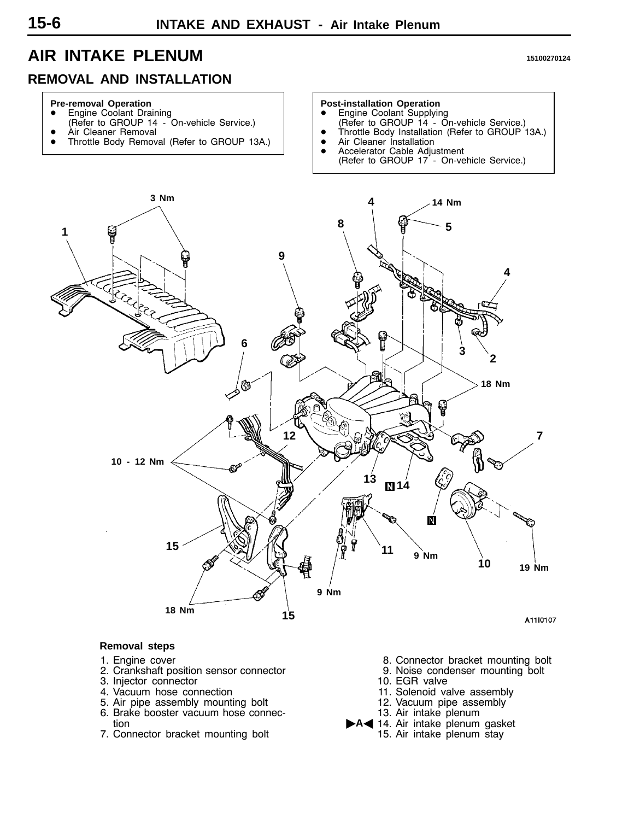## <span id="page-5-0"></span>**AIR INTAKE PLENUM <sup>15100270124</sup>**

## **REMOVAL AND INSTALLATION**

## **Pre-removal Operation**

- **Engine Coolant Draining** (Refer to GROUP 14 - On-vehicle Service.)
- Àir Cleaner Removal
- Throttle Body Removal (Refer to GROUP 13A.)

## **Post-installation Operation**<br>● Engine Coolant Supplying

- (Refer to GROUP 14 On-vehicle Service.)
- Throttle Body Installation (Refer to GROUP 13A.)
- Air Cleaner Installation
- Accelerator Cable Adjustment (Refer to GROUP 17 - On-vehicle Service.)



- 1. Engine cover
- 2. Crankshaft position sensor connector
- 3. Injector connector
- 4. Vacuum hose connection
- 5. Air pipe assembly mounting bolt
- 6. Brake booster vacuum hose connection
- 7. Connector bracket mounting bolt
- 8. Connector bracket mounting bolt
- 9. Noise condenser mounting bolt
- 10. EGR valve
- 11. Solenoid valve assembly
- 12. Vacuum pipe assembly
- 13. Air intake plenum
- A<14. Air intake plenum gasket
	- 15. Air intake plenum stay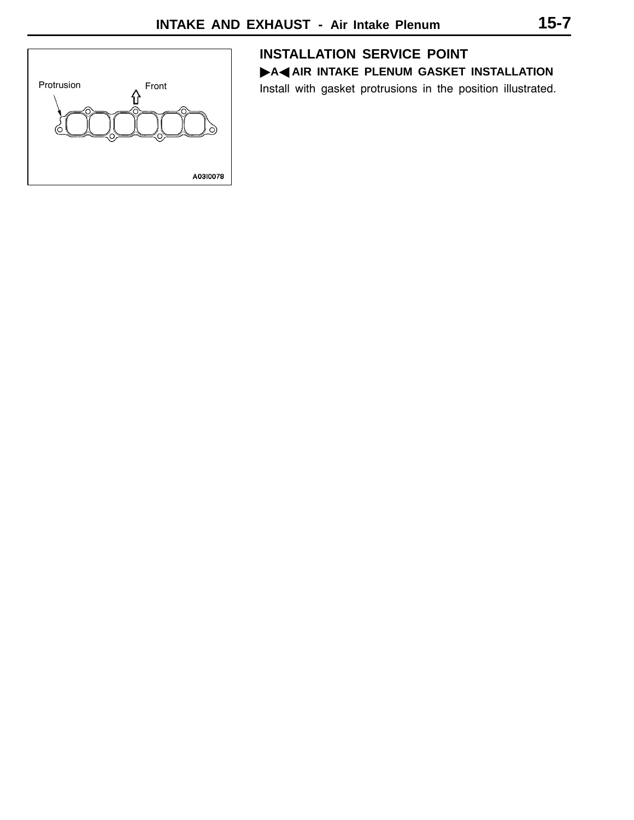

## **INSTALLATION SERVICE POINT**

**A**<br>A AIR INTAKE PLENUM GASKET INSTALLATION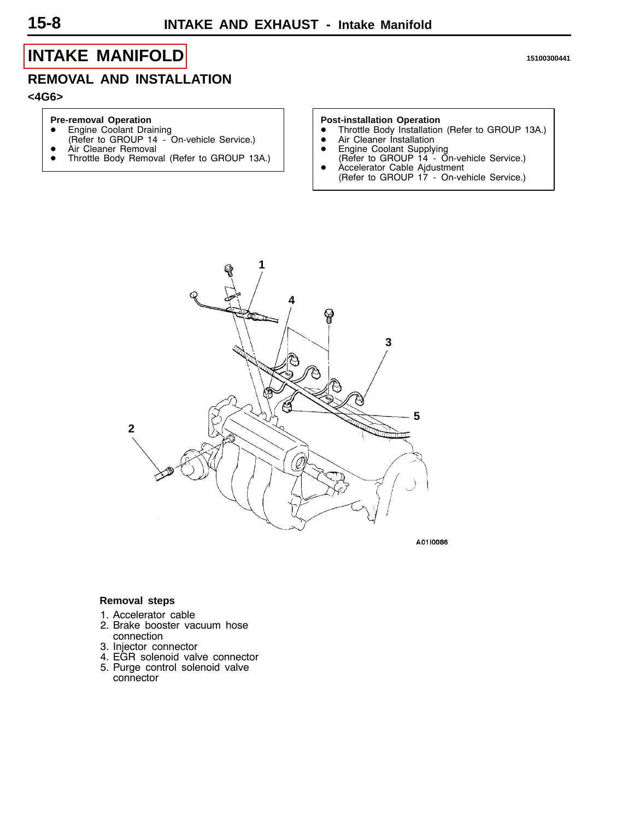## <span id="page-7-0"></span>**[INTAKE MANIFOLD](#page-1-0) <sup>15100300441</sup>**

## **REMOVAL AND INSTALLATION**

**<4G6>**

#### **Pre-removal Operation**

- **•** Engine Coolant Draining
- (Refer to GROUP 14 On-vehicle Service.)
- Air Cleaner Removal<br>• Throttle Body Remov
- Throttle Body Removal (Refer to GROUP 13A.)

- **Post-installation Operation**<br>● Throttle Body Installation (Refer to GROUP 13A.)
- Air Cleaner Installation
- **•** Engine Coolant Supplying
- 
- **1 4** ရှု **3 5 2** ŀ

A0110086

- 1. Accelerator cable
- 2. Brake booster vacuum hose connection
- 3. Injector connector
- 4. EGR solenoid valve connector
- 5. Purge control solenoid valve connector

- 
- 
- (Refer to GROUP 14 On-vehicle Service.) D Accelerator Cable Ajdustment
	- (Refer to GROUP 17 On-vehicle Service.)

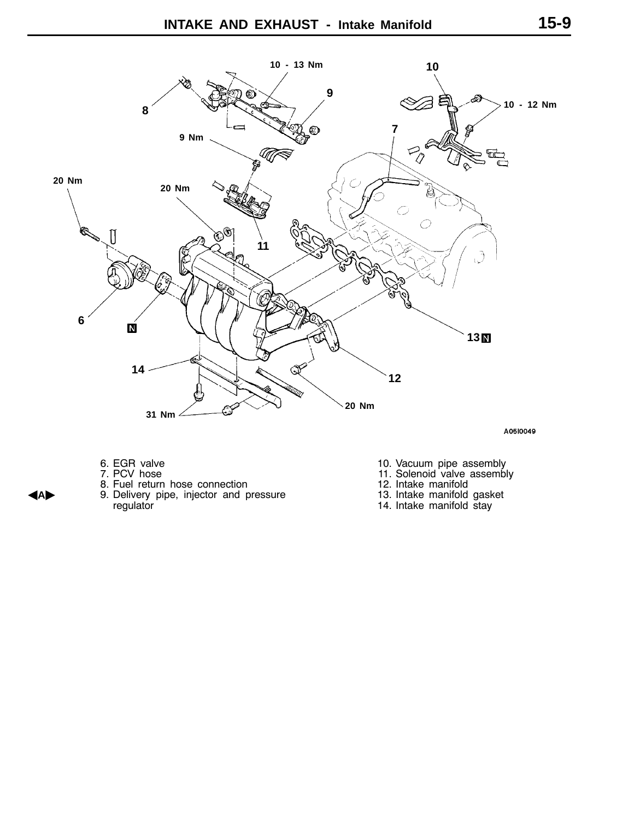

A0510049

- 6. EGR valve
- 7. PCV hose
- 8. Fuel return hose connection
- A**A**" 9. Delivery pipe, injector and pressure regulator
- 10. Vacuum pipe assembly
- 11. Solenoid valve assembly
- 12. Intake manifold
- 13. Intake manifold gasket
- 14. Intake manifold stay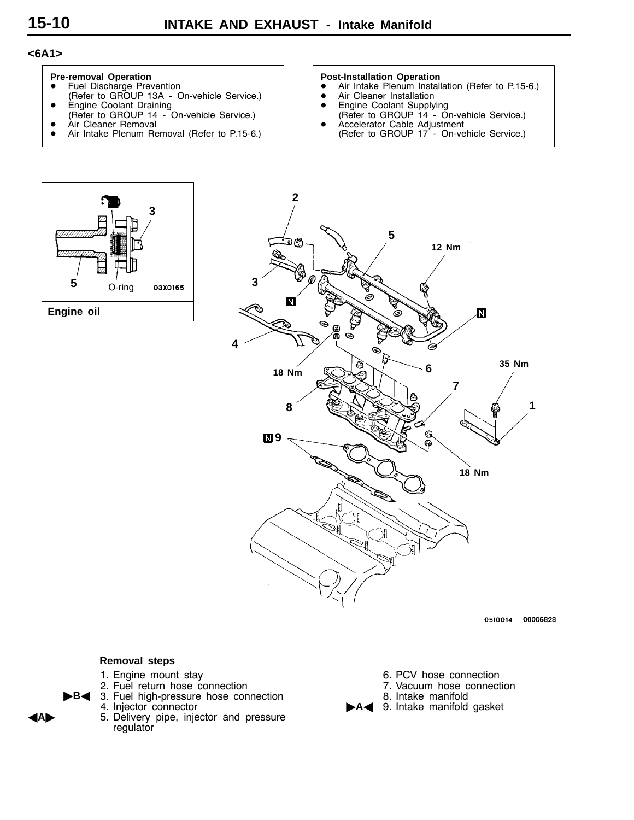## **<6A1>**



- **•** Fuel Discharge Prevention
- (Refer to GROUP 13A On-vehicle Service.)
- **•** Engine Coolant Draining (Refer to GROUP 14 - On-vehicle Service.)
- Àir Cleaner Removal
- Air Intake Plenum Removal (Refer to P.15-6.)

#### **Post-Installation Operation**

- **DETERMINATION SEPTEMBLE**<br>• Air Intake Plenum Installation (Refer to P.15-6.)
- Air Cleaner Installation
- **•** Engine Coolant Supplying
- (Refer to GROUP 14 On-vehicle Service.) D Accelerator Cable Adjustment
- (Refer to GROUP 17 On-vehicle Service.)





0510014 00005828

- 1. Engine mount stay
- 2. Fuel return hose connection
- **B**< 3. Fuel high-pressure hose connection
	- 4. Injector connector
- A**A**" 5. Delivery pipe, injector and pressure regulator
- 6. PCV hose connection
- 7. Vacuum hose connection
- 8. Intake manifold
- A<>A<br /> **A**<<br /> **A<>A**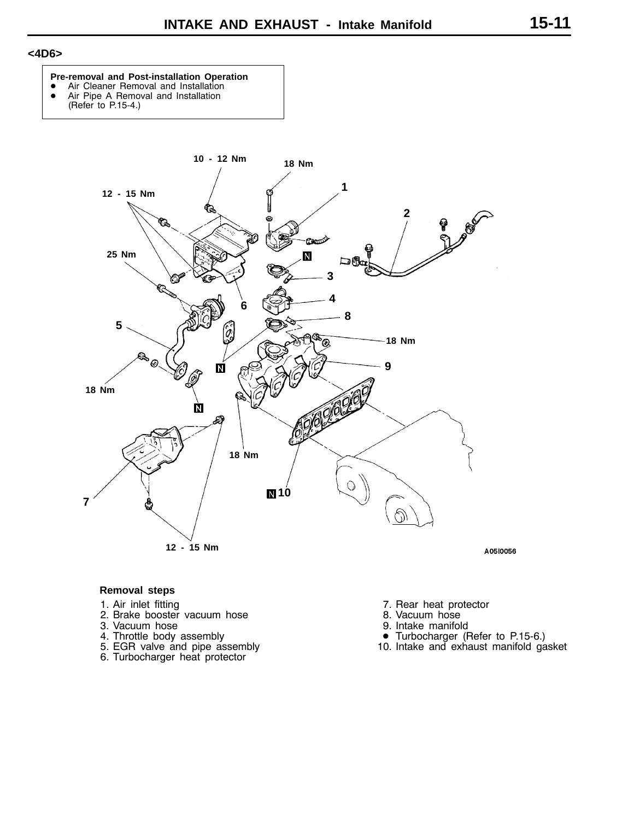## **<4D6>**

#### **Pre-removal and Post-installation Operation**

- Air Cleaner Removal and Installation<br>• Air Pine A Removal and Installation
	- Air Pipe A Removal and Installation (Refer to P.15-4.)
	-



- 1. Air inlet fitting
- 2. Brake booster vacuum hose
- 3. Vacuum hose
- 4. Throttle body assembly
- 5. EGR valve and pipe assembly
- 6. Turbocharger heat protector
- 7. Rear heat protector
- 8. Vacuum hose
- 9. Intake manifold
- Turbocharger (Refer to P.15-6.)
- 10. Intake and exhaust manifold gasket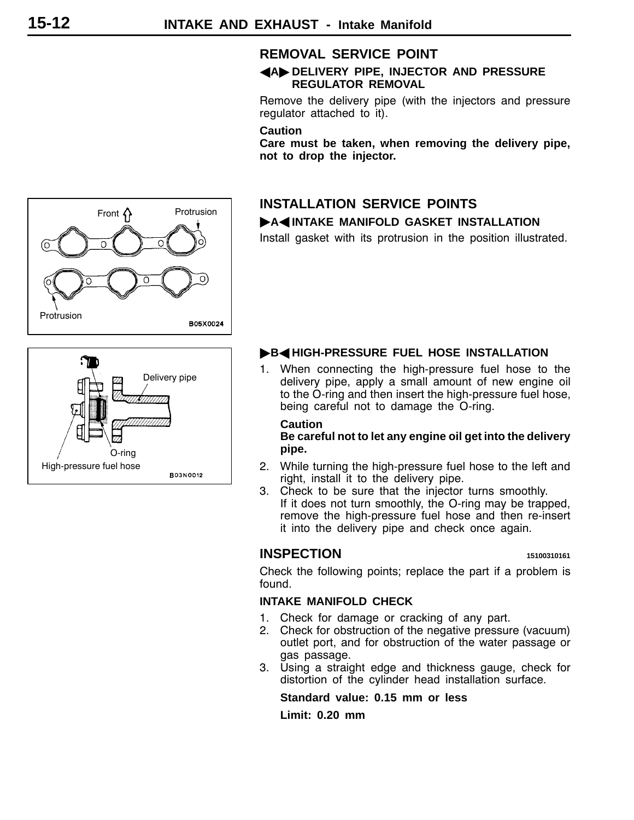## **REMOVAL SERVICE POINT**

## A**A**" **DELIVERY PIPE, INJECTOR AND PRESSURE REGULATOR REMOVAL**

Remove the delivery pipe (with the injectors and pressure regulator attached to it).

#### **Caution**

**Care must be taken, when removing the delivery pipe, not to drop the injector.**

## **INSTALLATION SERVICE POINTS A4 INTAKE MANIFOLD GASKET INSTALLATION**

Install gasket with its protrusion in the position illustrated.



## **B**<br /> **B**<br /> **B**<br /> **B**<br /> **B**<br /> **B**<br /> **B**<br /> **B**<br /> **B**<br /> **B**<br /> **B**<br /> **B**<br /> **B**<<br /> **B**<<br /> **B**<<br /> **B**<<br /> **B**<<br /> **B**<<br /> **B**<<br /> **B**<<br /> **B**<<br /> **B**

1. When connecting the high-pressure fuel hose to the delivery pipe, apply a small amount of new engine oil to the O-ring and then insert the high-pressure fuel hose, being careful not to damage the O-ring.

## **Caution**

**Be careful not to let any engine oil get into the delivery pipe.**

- 2. While turning the high-pressure fuel hose to the left and right, install it to the delivery pipe.
- 3. Check to be sure that the injector turns smoothly. If it does not turn smoothly, the O-ring may be trapped, remove the high-pressure fuel hose and then re-insert it into the delivery pipe and check once again.

## **INSPECTION <sup>15100310161</sup>**

Check the following points; replace the part if a problem is found.

## **INTAKE MANIFOLD CHECK**

- 1. Check for damage or cracking of any part.
- 2. Check for obstruction of the negative pressure (vacuum) outlet port, and for obstruction of the water passage or gas passage.
- 3. Using a straight edge and thickness gauge, check for distortion of the cylinder head installation surface.

## **Standard value: 0.15 mm or less**

**Limit: 0.20 mm**

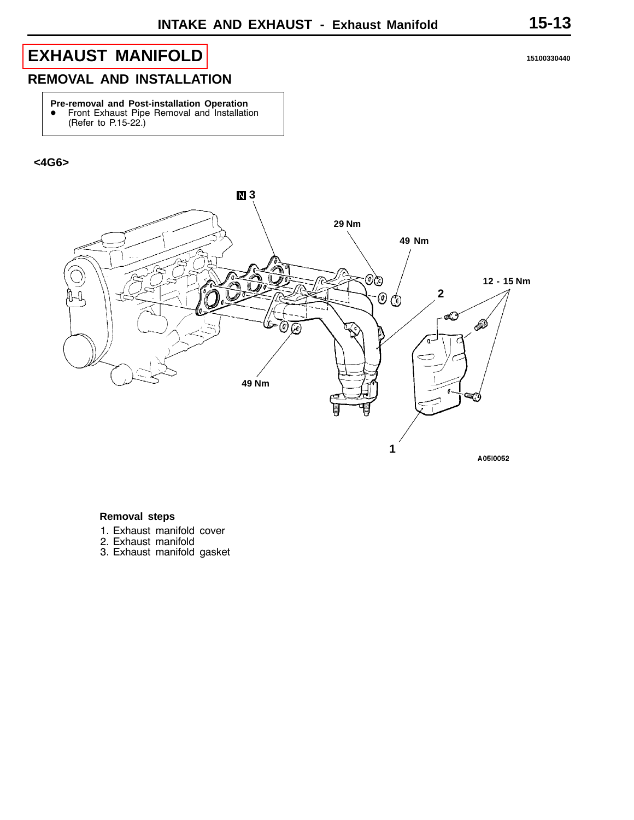## <span id="page-12-0"></span>**[EXHAUST MANIFOLD](#page-2-0) <sup>15100330440</sup>**

## **REMOVAL AND INSTALLATION**

**Pre-removal and Post-installation Operation**<br>• Front Exhaust Pipe Removal and Installation (Refer to P.15-22.)

## **<4G6>**



- 1. Exhaust manifold cover
- 2. Exhaust manifold
- 3. Exhaust manifold gasket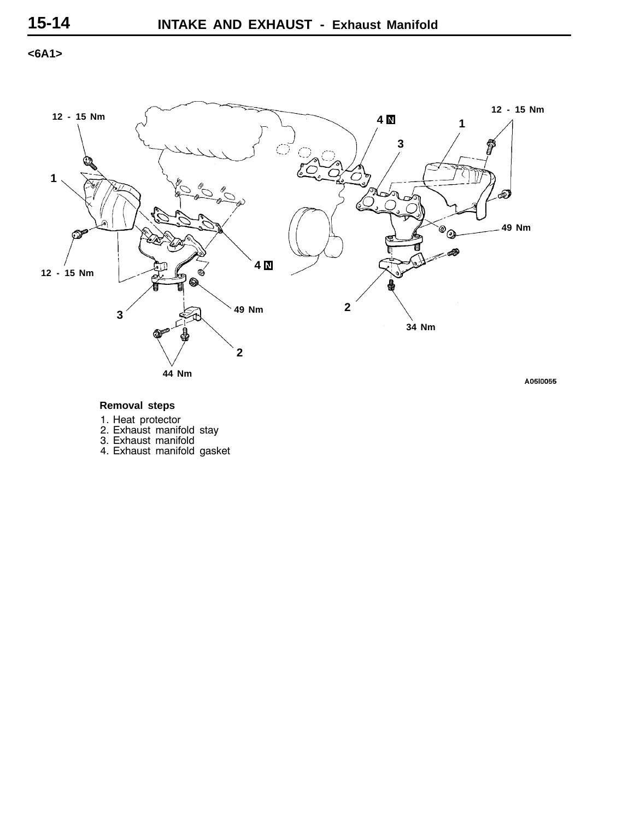**<6A1>**



- 1. Heat protector
- 2. Exhaust manifold stay
- 3. Exhaust manifold
- 4. Exhaust manifold gasket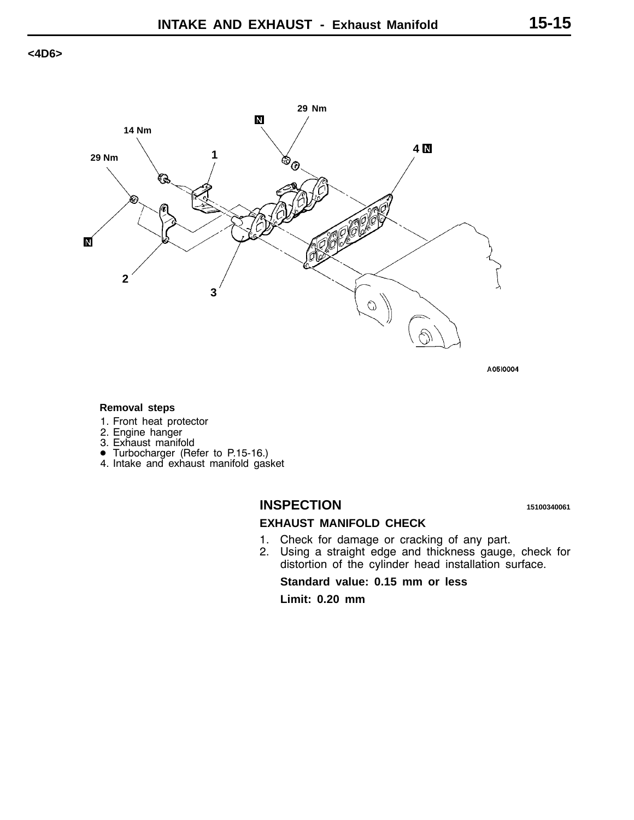## **<4D6>**



A0510004

#### **Removal steps**

- 1. Front heat protector
- 2. Engine hanger
- 
- 3. Exhaust manifold D Turbocharger (Refer to P.15-16.)
- 4. Intake and exhaust manifold gasket

## **INSPECTION <sup>15100340061</sup>**

## **EXHAUST MANIFOLD CHECK**

- 1. Check for damage or cracking of any part.
- 2. Using a straight edge and thickness gauge, check for distortion of the cylinder head installation surface.

**Standard value: 0.15 mm or less**

**Limit: 0.20 mm**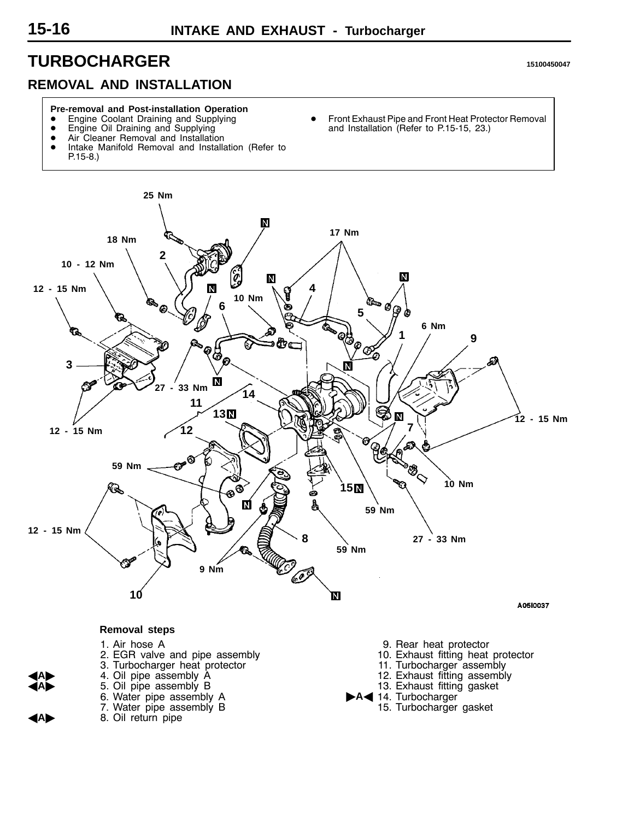## <span id="page-15-0"></span>**TURBOCHARGER <sup>15100450047</sup>**

## **REMOVAL AND INSTALLATION**

#### **Pre-removal and Post-installation Operation**

- Engine Coolant Draining and Supplying
- **•** Engine Oil Draining and Supplying
- Air Cleaner Removal and Installation<br>• Intake Manifold Removal and Installation
- Intake Manifold Removal and Installation (Refer to
- P.15-8.)

Front Exhaust Pipe and Front Heat Protector Removal and Installation (Refer to P.15-15, 23.)

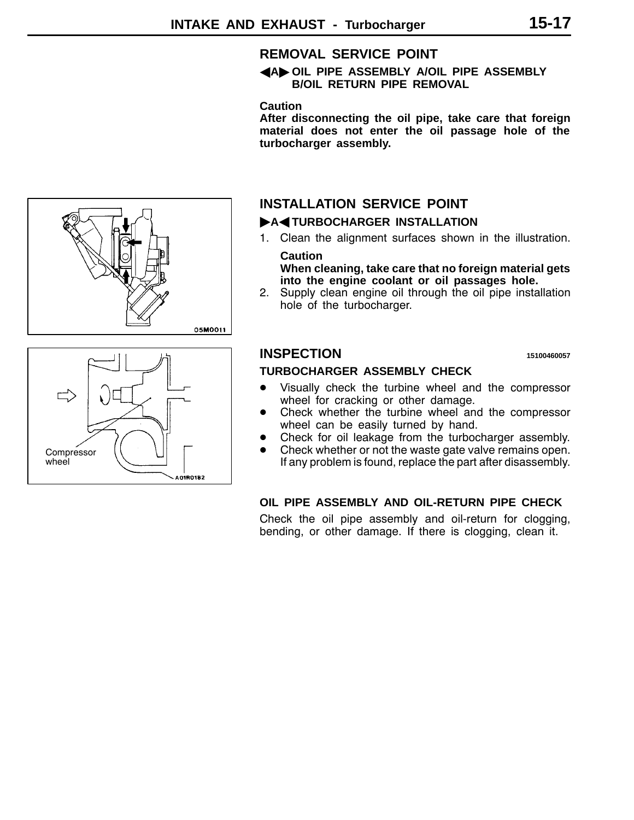## **REMOVAL SERVICE POINT**

## A**A**" **OIL PIPE ASSEMBLY A/OIL PIPE ASSEMBLY B/OIL RETURN PIPE REMOVAL**

## **Caution**

**After disconnecting the oil pipe, take care that foreign material does not enter the oil passage hole of the turbocharger assembly.**

## **INSTALLATION SERVICE POINT**

## $\blacktriangleright$ A<**TURBOCHARGER INSTALLATION**

1. Clean the alignment surfaces shown in the illustration. **Caution**

**When cleaning, take care that no foreign material gets into the engine coolant or oil passages hole.**

2. Supply clean engine oil through the oil pipe installation hole of the turbocharger.

## **INSPECTION <sup>15100460057</sup>**

## **TURBOCHARGER ASSEMBLY CHECK**

- Visually check the turbine wheel and the compressor wheel for cracking or other damage.
- Check whether the turbine wheel and the compressor wheel can be easily turned by hand.
- Check for oil leakage from the turbocharger assembly.
- Check whether or not the waste gate valve remains open. If any problem is found, replace the part after disassembly.

## **OIL PIPE ASSEMBLY AND OIL-RETURN PIPE CHECK**

Check the oil pipe assembly and oil-return for clogging, bending, or other damage. If there is clogging, clean it.



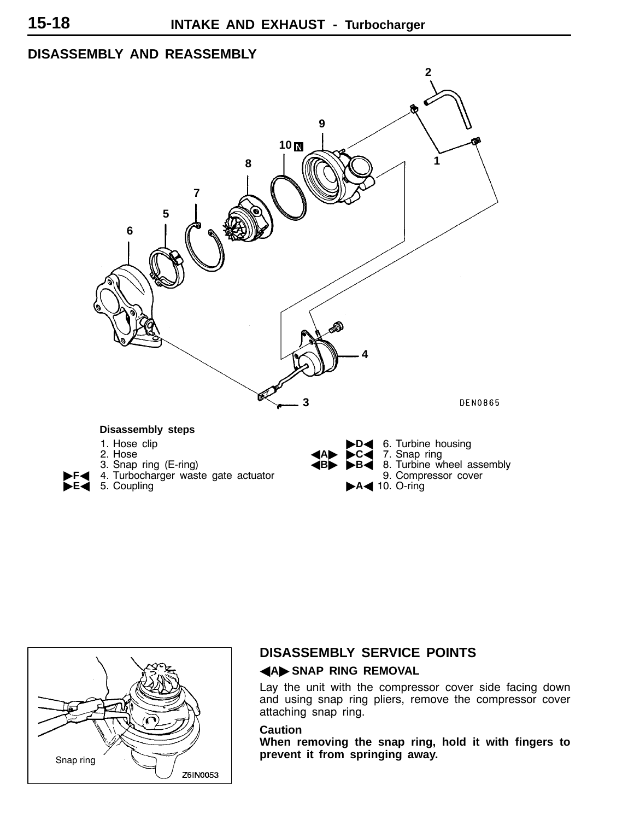## **DISASSEMBLY AND REASSEMBLY**





## **DISASSEMBLY SERVICE POINTS**

## **AAD** SNAP RING REMOVAL

Lay the unit with the compressor cover side facing down and using snap ring pliers, remove the compressor cover attaching snap ring.

## **Caution**

**When removing the snap ring, hold it with fingers to**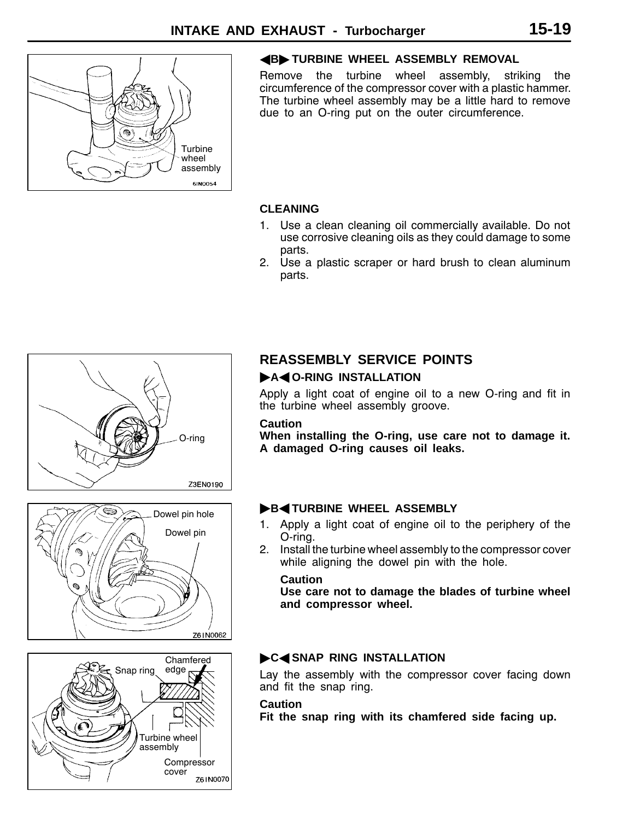

## **4B TURBINE WHEEL ASSEMBLY REMOVAL**

Remove the turbine wheel assembly, striking the circumference of the compressor cover with a plastic hammer. The turbine wheel assembly may be a little hard to remove due to an O-ring put on the outer circumference.

## **CLEANING**

- 1. Use a clean cleaning oil commercially available. Do not use corrosive cleaning oils as they could damage to some parts.
- 2. Use a plastic scraper or hard brush to clean aluminum parts.



# ⊜ Dowel pin hole Dowel pin Z61N0062



## **REASSEMBLY SERVICE POINTS**

## $\blacktriangleright$ A< O-RING INSTALLATION

Apply a light coat of engine oil to a new O-ring and fit in the turbine wheel assembly groove.

## **Caution**

**When installing the O-ring, use care not to damage it. A damaged O-ring causes oil leaks.**

## **B**<TURBINE WHEEL ASSEMBLY

- 1. Apply a light coat of engine oil to the periphery of the O-ring.
- 2. Install the turbine wheel assembly to the compressor cover while aligning the dowel pin with the hole.

## **Caution**

**Use care not to damage the blades of turbine wheel and compressor wheel.**

## **C**<SNAP RING INSTALLATION

Lay the assembly with the compressor cover facing down and fit the snap ring.

## **Caution**

**Fit the snap ring with its chamfered side facing up.**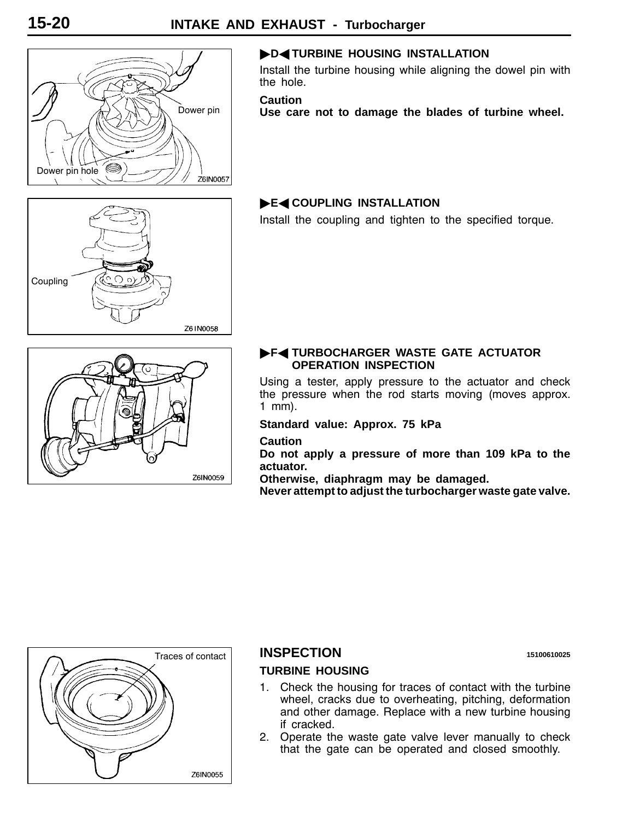

## **DENTURBINE HOUSING INSTALLATION**

Install the turbine housing while aligning the dowel pin with the hole.

**Caution**

**Use care not to damage the blades of turbine wheel.**

# Coupling Z61N0058

## "**E**A **COUPLING INSTALLATION**

Install the coupling and tighten to the specified torque.



## $\blacktriangleright$  **F**< TURBOCHARGER WASTE GATE ACTUATOR **OPERATION INSPECTION**

Using a tester, apply pressure to the actuator and check the pressure when the rod starts moving (moves approx. 1 mm).

**Standard value: Approx. 75 kPa**

## **Caution**

**Do not apply a pressure of more than 109 kPa to the actuator.**

**Otherwise, diaphragm may be damaged.**

**Never attempt to adjust the turbocharger waste gate valve.**



## **INSPECTION <sup>15100610025</sup>**

## **TURBINE HOUSING**

- 1. Check the housing for traces of contact with the turbine wheel, cracks due to overheating, pitching, deformation and other damage. Replace with a new turbine housing if cracked.
- 2. Operate the waste gate valve lever manually to check that the gate can be operated and closed smoothly.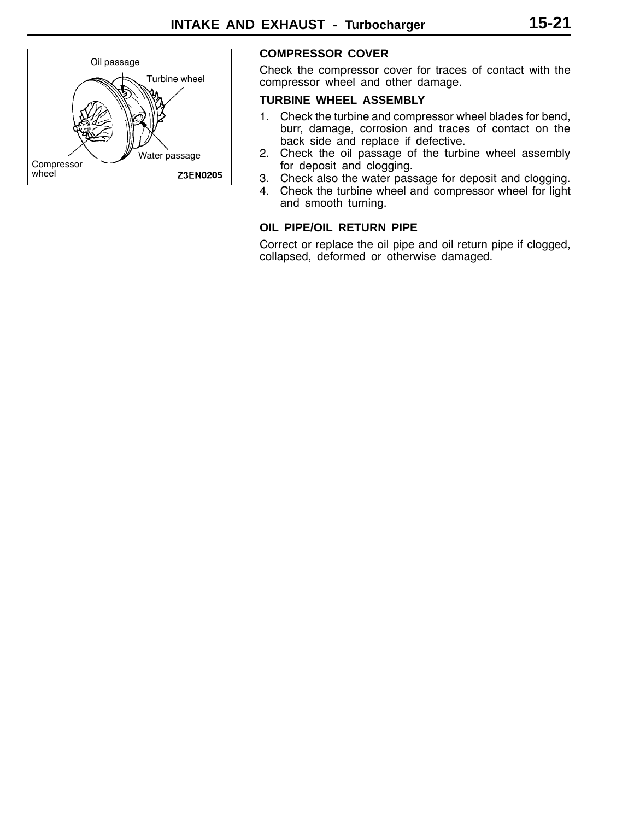

## **COMPRESSOR COVER**

Check the compressor cover for traces of contact with the compressor wheel and other damage.

## **TURBINE WHEEL ASSEMBLY**

- 1. Check the turbine and compressor wheel blades for bend, burr, damage, corrosion and traces of contact on the back side and replace if defective.
- 2. Check the oil passage of the turbine wheel assembly for deposit and clogging.
- 3. Check also the water passage for deposit and clogging.
- 4. Check the turbine wheel and compressor wheel for light and smooth turning.

## **OIL PIPE/OIL RETURN PIPE**

Correct or replace the oil pipe and oil return pipe if clogged, collapsed, deformed or otherwise damaged.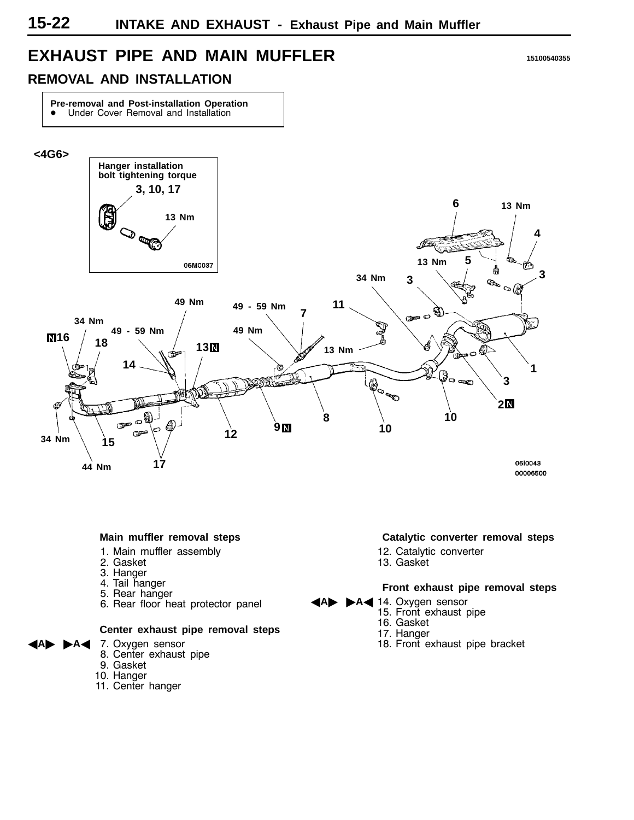## <span id="page-21-0"></span>**EXHAUST PIPE AND MAIN MUFFLER <sup>15100540355</sup>**

## **REMOVAL AND INSTALLATION**

**Pre-removal and Post-installation Operation**  $\bullet$  Under Cover Removal and Installation



#### **Main muffler removal steps**

- 1. Main muffler assembly
- 2. Gasket
- 3. Hanger
- 4. Tail hanger
- 5. Rear hanger
- 6. Rear floor heat protector panel

#### **Center exhaust pipe removal steps**

- A<sup>4</sup> 7. Oxygen sensor
	- 8. Center exhaust pipe
	- 9. Gasket
	- 10. Hanger
	- 11. Center hanger

#### **Catalytic converter removal steps**

- 12. Catalytic converter
- 13. Gasket

#### **Front exhaust pipe removal steps**

- **A** 14. Oxygen sensor
	- 15. Front exhaust pipe
	- 16. Gasket
	- 17. Hanger
	- 18. Front exhaust pipe bracket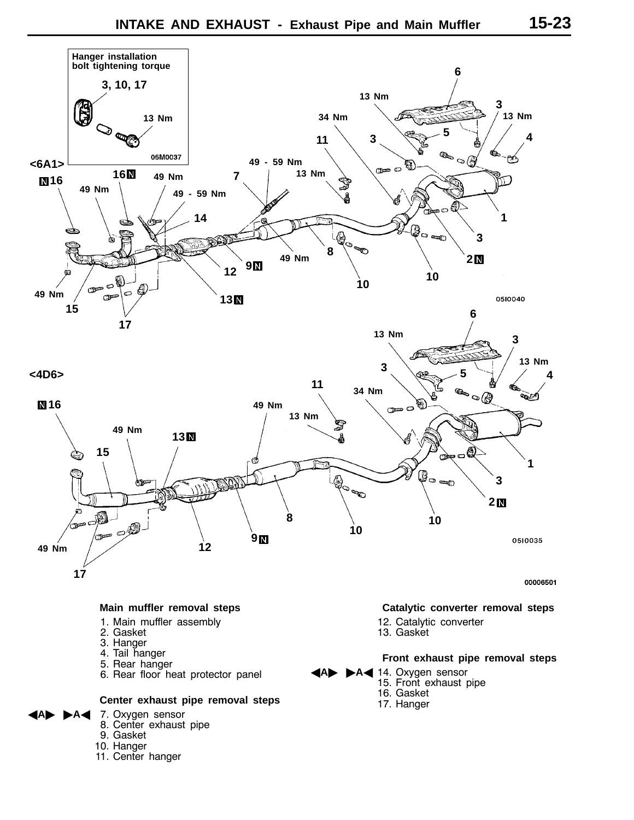

## **Main muffler removal steps**

- 1. Main muffler assembly
- 2. Gasket
- 3. Hanger
- 4. Tail hanger
- 5. Rear hanger
- 6. Rear floor heat protector panel

## **Center exhaust pipe removal steps**

- 7. Oxygen sensor
- 8. Center exhaust pipe
- 9. Gasket
- 10. Hanger
- 11. Center hanger

## **Catalytic converter removal steps**

- 12. Catalytic converter
- 13. Gasket

## **Front exhaust pipe removal steps**

- A<sup>14</sup>. Oxygen sensor
	- 15. Front exhaust pipe
	- 16. Gasket
	- 17. Hanger